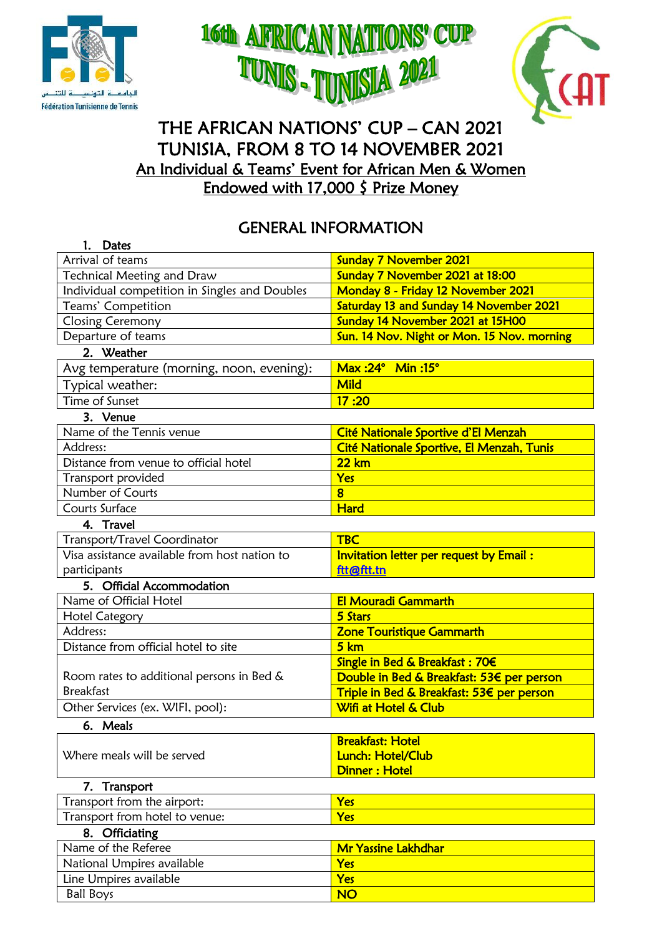





# THE AFRICAN NATIONS' CUP – CAN 2021 TUNISIA, FROM 8 TO 14 NOVEMBER 2021 An Individual & Teams' Event for African Men & Women Endowed with 17,000 \$ Prize Money

# GENERAL INFORMATION

| <b>Dates</b><br>1.                            |                                            |  |  |
|-----------------------------------------------|--------------------------------------------|--|--|
| Arrival of teams                              | <b>Sunday 7 November 2021</b>              |  |  |
| Technical Meeting and Draw                    | Sunday 7 November 2021 at 18:00            |  |  |
| Individual competition in Singles and Doubles | Monday 8 - Friday 12 November 2021         |  |  |
| Teams' Competition                            | Saturday 13 and Sunday 14 November 2021    |  |  |
| Closing Ceremony                              | Sunday 14 November 2021 at 15H00           |  |  |
| Departure of teams                            | Sun. 14 Nov. Night or Mon. 15 Nov. morning |  |  |
| 2. Weather                                    |                                            |  |  |
| Avg temperature (morning, noon, evening):     | Max:24° Min:15°                            |  |  |
| Typical weather:                              | <b>Mild</b>                                |  |  |
| Time of Sunset                                | 17:20                                      |  |  |
| 3. Venue                                      |                                            |  |  |
| Name of the Tennis venue                      | Cité Nationale Sportive d'El Menzah        |  |  |
| Address:                                      | Cité Nationale Sportive, El Menzah, Tunis  |  |  |
| Distance from venue to official hotel         | <b>22 km</b>                               |  |  |
| Transport provided                            | Yes                                        |  |  |
| Number of Courts                              | $\overline{\mathbf{8}}$                    |  |  |
| Courts Surface                                | <b>Hard</b>                                |  |  |
| 4. Travel                                     |                                            |  |  |
| Transport/Travel Coordinator                  | <b>TBC</b>                                 |  |  |
| Visa assistance available from host nation to | Invitation letter per request by Email:    |  |  |
| participants                                  | ftt@ftt.tn                                 |  |  |
| 5. Official Accommodation                     |                                            |  |  |
| Name of Official Hotel                        | <b>El Mouradi Gammarth</b>                 |  |  |
| <b>Hotel Category</b>                         | 5 Stars                                    |  |  |
| Address:                                      | <b>Zone Touristique Gammarth</b>           |  |  |
| Distance from official hotel to site          | 5 km                                       |  |  |
|                                               | Single in Bed & Breakfast: 70€             |  |  |
| Room rates to additional persons in Bed &     | Double in Bed & Breakfast: 53€ per person  |  |  |
| <b>Breakfast</b>                              | Triple in Bed & Breakfast: 53€ per person  |  |  |
| Other Services (ex. WIFI, pool):              | Wifi at Hotel & Club                       |  |  |
| 6. Meals                                      |                                            |  |  |
|                                               | <b>Breakfast: Hotel</b>                    |  |  |
| Where meals will be served                    | Lunch: Hotel/Club                          |  |  |
|                                               | <b>Dinner: Hotel</b>                       |  |  |
| 7. Transport                                  |                                            |  |  |
| Transport from the airport:                   | Yes                                        |  |  |
| Transport from hotel to venue:                | Yes                                        |  |  |
| 8. Officiating                                |                                            |  |  |
| Name of the Referee                           | <b>Mr Yassine Lakhdhar</b>                 |  |  |
| National Umpires available                    | Yes                                        |  |  |
| Line Umpires available                        | Yes                                        |  |  |
| <b>Ball Boys</b>                              | <b>NO</b>                                  |  |  |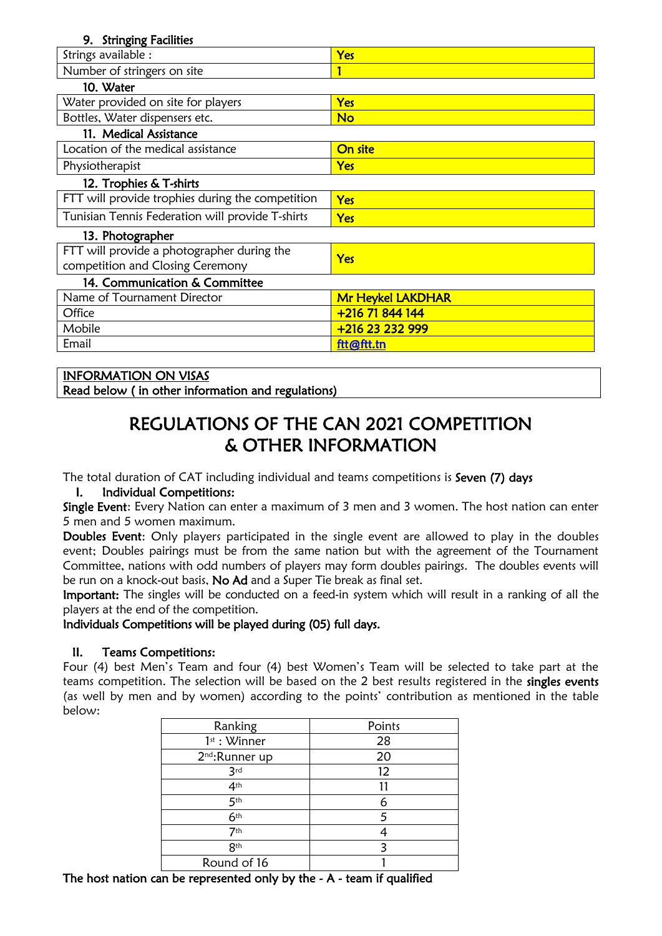| <b>Stringing Facilities</b><br>9.                |                          |  |  |  |
|--------------------------------------------------|--------------------------|--|--|--|
| Strings available :                              | Yes                      |  |  |  |
| Number of stringers on site                      |                          |  |  |  |
| 10. Water                                        |                          |  |  |  |
| Water provided on site for players               | Yes                      |  |  |  |
| Bottles, Water dispensers etc.                   | No                       |  |  |  |
| 11. Medical Assistance                           |                          |  |  |  |
| Location of the medical assistance               | On site                  |  |  |  |
| Physiotherapist                                  | Yes                      |  |  |  |
| 12. Trophies & T-shirts                          |                          |  |  |  |
| FTT will provide trophies during the competition | Yes                      |  |  |  |
| Tunisian Tennis Federation will provide T-shirts | Yes                      |  |  |  |
| 13. Photographer                                 |                          |  |  |  |
| FTT will provide a photographer during the       | Yes                      |  |  |  |
| competition and Closing Ceremony                 |                          |  |  |  |
| 14. Communication & Committee                    |                          |  |  |  |
| Name of Tournament Director                      | <b>Mr Heykel LAKDHAR</b> |  |  |  |
| Office                                           | +216 71 844 144          |  |  |  |
| Mobile                                           | +216 23 232 999          |  |  |  |
| Email                                            | ftt@ftt.tn               |  |  |  |

## INFORMATION ON VISAS

Read below ( in other information and regulations)

# REGULATIONS OF THE CAN 2021 COMPETITION & OTHER INFORMATION

The total duration of CAT including individual and teams competitions is Seven (7) days

## I. Individual Competitions:

Single Event: Every Nation can enter a maximum of 3 men and 3 women. The host nation can enter 5 men and 5 women maximum.

Doubles Event: Only players participated in the single event are allowed to play in the doubles event; Doubles pairings must be from the same nation but with the agreement of the Tournament Committee, nations with odd numbers of players may form doubles pairings. The doubles events will be run on a knock-out basis, No Ad and a Super Tie break as final set.

Important: The singles will be conducted on a feed-in system which will result in a ranking of all the players at the end of the competition.

#### Individuals Competitions will be played during (05) full days.

## II. Teams Competitions:

Four (4) best Men's Team and four (4) best Women's Team will be selected to take part at the teams competition. The selection will be based on the 2 best results registered in the singles events (as well by men and by women) according to the points' contribution as mentioned in the table below:

| Ranking                    | Points |  |  |
|----------------------------|--------|--|--|
| $1^{st}$ : Winner          | 28     |  |  |
| 2 <sup>nd</sup> :Runner up | 20     |  |  |
| 3rd                        | 12     |  |  |
| 4 <sup>th</sup>            | 11     |  |  |
| 5 <sup>th</sup>            | 6      |  |  |
| 6 <sup>th</sup>            | 5      |  |  |
| 7 <sup>th</sup>            |        |  |  |
| 8 <sup>th</sup>            | ς      |  |  |
| Round of 16                |        |  |  |

The host nation can be represented only by the  $-$  A  $-$  team if qualified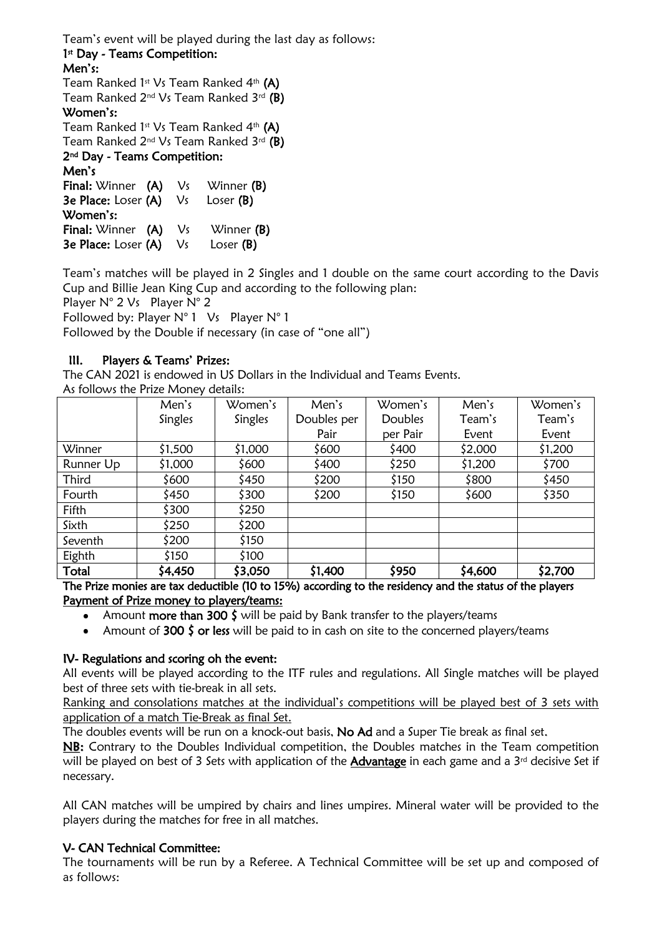Team's event will be played during the last day as follows:

# 1<sup>st</sup> Day - Teams Competition:

#### Men's:

Team Ranked 1st Vs Team Ranked 4th (A)

Team Ranked  $2^{nd}$  Vs Team Ranked  $3^{rd}$  (B)

# Women's:

Team Ranked 1st Vs Team Ranked  $4<sup>th</sup>$  (A)

Team Ranked 2nd Vs Team Ranked 3rd (B)

#### 2nd Day - Teams Competition:

Men's Final: Winner (A) Vs Winner (B) 3e Place: Loser (A) Vs Loser (B) Women's: Final: Winner (A) Vs Winner (B) 3e Place: Loser (A) Vs Loser (B)

Team's matches will be played in 2 Singles and 1 double on the same court according to the Davis Cup and Billie Jean King Cup and according to the following plan:

Player N° 2 Vs Player N° 2

Followed by: Player N° 1 Vs Player N° 1

Followed by the Double if necessary (in case of "one all")

# III. Players & Teams' Prizes:

The CAN 2021 is endowed in US Dollars in the Individual and Teams Events.

As follows the Prize Money details:

|           | Men's   | Women's | Men's       | Women's        | Men's   | Women's |
|-----------|---------|---------|-------------|----------------|---------|---------|
|           | Singles | Singles | Doubles per | <b>Doubles</b> | Team's  | Team's  |
|           |         |         | Pair        | per Pair       | Event   | Event   |
| Winner    | \$1,500 | \$1,000 | \$600       | \$400          | \$2,000 | \$1,200 |
| Runner Up | \$1,000 | \$600   | \$400       | \$250          | \$1,200 | \$700   |
| Third     | \$600   | \$450   | \$200       | \$150          | \$800   | \$450   |
| Fourth    | \$450   | \$300   | \$200       | \$150          | \$600   | \$350   |
| Fifth     | \$300   | \$250   |             |                |         |         |
| Sixth     | \$250   | \$200   |             |                |         |         |
| Seventh   | \$200   | \$150   |             |                |         |         |
| Eighth    | \$150   | \$100   |             |                |         |         |
| Total     | \$4,450 | \$3,050 | \$1,400     | \$950          | \$4,600 | \$2,700 |

The Prize monies are tax deductible (10 to 15%) according to the residency and the status of the players Payment of Prize money to players/teams:

- Amount more than 300 \$ will be paid by Bank transfer to the players/teams
- Amount of 300  $\frac{2}{5}$  or less will be paid to in cash on site to the concerned players/teams

## IV- Regulations and scoring oh the event:

All events will be played according to the ITF rules and regulations. All Single matches will be played best of three sets with tie-break in all sets.

Ranking and consolations matches at the individual's competitions will be played best of 3 sets with application of a match Tie-Break as final Set.

The doubles events will be run on a knock-out basis, No Ad and a Super Tie break as final set.

NB: Contrary to the Doubles Individual competition, the Doubles matches in the Team competition will be played on best of 3 Sets with application of the Advantage in each game and a 3<sup>rd</sup> decisive Set if necessary.

All CAN matches will be umpired by chairs and lines umpires. Mineral water will be provided to the players during the matches for free in all matches.

# V- CAN Technical Committee:

The tournaments will be run by a Referee. A Technical Committee will be set up and composed of as follows: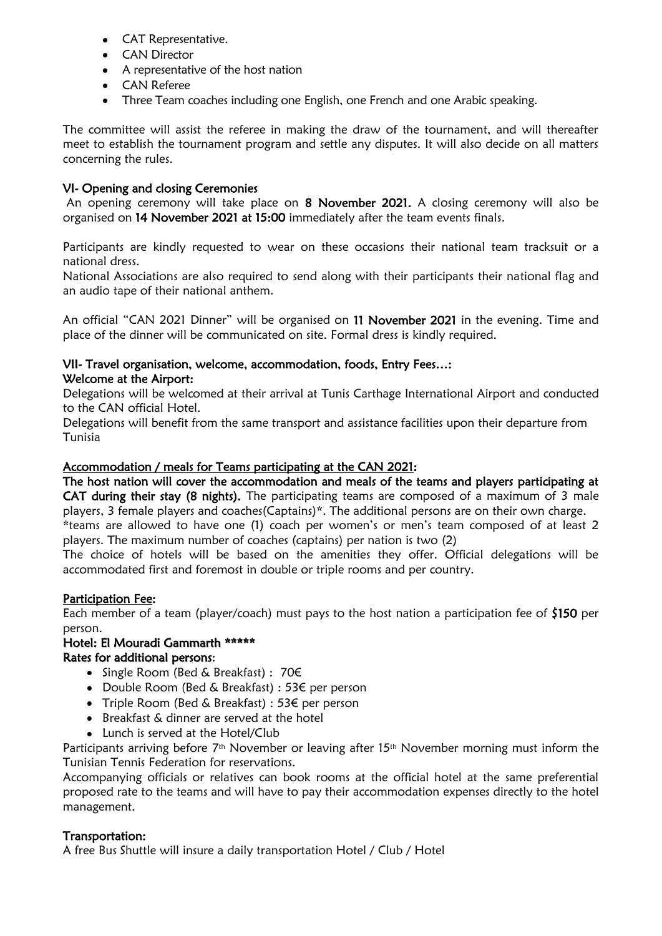- CAT Representative.
- CAN Director
- A representative of the host nation
- CAN Referee
- Three Team coaches including one English, one French and one Arabic speaking.

The committee will assist the referee in making the draw of the tournament, and will thereafter meet to establish the tournament program and settle any disputes. It will also decide on all matters concerning the rules.

## VI- Opening and closing Ceremonies

An opening ceremony will take place on 8 November 2021. A closing ceremony will also be organised on 14 November 2021 at 15:00 immediately after the team events finals.

Participants are kindly requested to wear on these occasions their national team tracksuit or a national dress.

National Associations are also required to send along with their participants their national flag and an audio tape of their national anthem.

An official "CAN 2021 Dinner" will be organised on 11 November 2021 in the evening. Time and place of the dinner will be communicated on site. Formal dress is kindly required.

# VII- Travel organisation, welcome, accommodation, foods, Entry Fees…:

#### Welcome at the Airport:

Delegations will be welcomed at their arrival at Tunis Carthage International Airport and conducted to the CAN official Hotel.

Delegations will benefit from the same transport and assistance facilities upon their departure from Tunisia

## Accommodation / meals for Teams participating at the CAN 2021:

The host nation will cover the accommodation and meals of the teams and players participating at CAT during their stay (8 nights). The participating teams are composed of a maximum of 3 male players, 3 female players and coaches(Captains)\*. The additional persons are on their own charge.

\*teams are allowed to have one (1) coach per women's or men's team composed of at least 2 players. The maximum number of coaches (captains) per nation is two (2)

The choice of hotels will be based on the amenities they offer. Official delegations will be accommodated first and foremost in double or triple rooms and per country.

## Participation Fee:

Each member of a team (player/coach) must pays to the host nation a participation fee of \$150 per person.

# Hotel: El Mouradi Gammarth \*\*\*\*\* Rates for additional persons:

- Single Room (Bed & Breakfast) : 70€
- Double Room (Bed & Breakfast) : 53€ per person
- Triple Room (Bed & Breakfast) : 53€ per person
- Breakfast & dinner are served at the hotel
- Lunch is served at the Hotel/Club

Participants arriving before 7<sup>th</sup> November or leaving after 15<sup>th</sup> November morning must inform the Tunisian Tennis Federation for reservations.

Accompanying officials or relatives can book rooms at the official hotel at the same preferential proposed rate to the teams and will have to pay their accommodation expenses directly to the hotel management.

#### Transportation:

A free Bus Shuttle will insure a daily transportation Hotel / Club / Hotel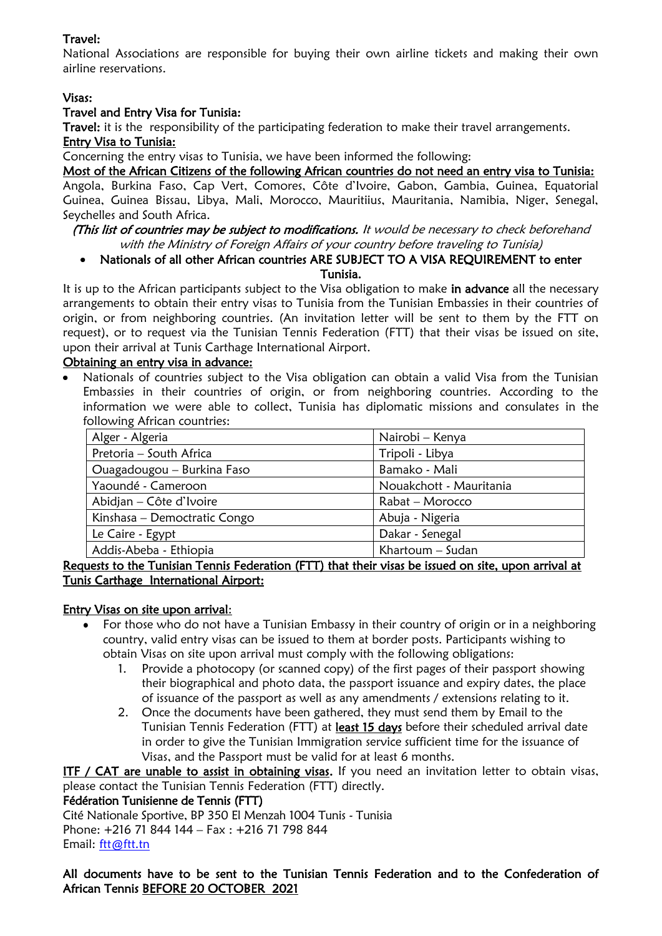# Travel:

National Associations are responsible for buying their own airline tickets and making their own airline reservations.

# Visas:

## Travel and Entry Visa for Tunisia:

Travel: it is the responsibility of the participating federation to make their travel arrangements.

#### Entry Visa to Tunisia:

Concerning the entry visas to Tunisia, we have been informed the following:

Most of the African Citizens of the following African countries do not need an entry visa to Tunisia:

Angola, Burkina Faso, Cap Vert, Comores, Côte d'Ivoire, Gabon, Gambia, Guinea, Equatorial Guinea, Guinea Bissau, Libya, Mali, Morocco, Mauritiius, Mauritania, Namibia, Niger, Senegal, Seychelles and South Africa.

(This list of countries may be subject to modifications. It would be necessary to check beforehand with the Ministry of Foreign Affairs of your country before traveling to Tunisia)

Nationals of all other African countries ARE SUBJECT TO A VISA REQUIREMENT to enter Tunisia.

It is up to the African participants subject to the Visa obligation to make in advance all the necessary arrangements to obtain their entry visas to Tunisia from the Tunisian Embassies in their countries of origin, or from neighboring countries. (An invitation letter will be sent to them by the FTT on request), or to request via the Tunisian Tennis Federation (FTT) that their visas be issued on site, upon their arrival at Tunis Carthage International Airport.

#### Obtaining an entry visa in advance:

Nationals of countries subject to the Visa obligation can obtain a valid Visa from the Tunisian Embassies in their countries of origin, or from neighboring countries. According to the information we were able to collect, Tunisia has diplomatic missions and consulates in the following African countries:

| Alger - Algeria              | Nairobi – Kenya         |
|------------------------------|-------------------------|
| Pretoria - South Africa      | Tripoli - Libya         |
| Ouagadougou - Burkina Faso   | Bamako - Mali           |
| Yaoundé - Cameroon           | Nouakchott - Mauritania |
| Abidjan – Côte d'Ivoire      | Rabat - Morocco         |
| Kinshasa – Democtratic Congo | Abuja - Nigeria         |
| Le Caire - Egypt             | Dakar - Senegal         |
| Addis-Abeba - Ethiopia       | Khartoum - Sudan        |

Requests to the Tunisian Tennis Federation (FTT) that their visas be issued on site, upon arrival at Tunis Carthage International Airport:

## Entry Visas on site upon arrival:

- For those who do not have a Tunisian Embassy in their country of origin or in a neighboring country, valid entry visas can be issued to them at border posts. Participants wishing to obtain Visas on site upon arrival must comply with the following obligations:
	- 1. Provide a photocopy (or scanned copy) of the first pages of their passport showing their biographical and photo data, the passport issuance and expiry dates, the place of issuance of the passport as well as any amendments / extensions relating to it.
	- 2. Once the documents have been gathered, they must send them by Email to the Tunisian Tennis Federation (FTT) at least 15 days before their scheduled arrival date in order to give the Tunisian Immigration service sufficient time for the issuance of Visas, and the Passport must be valid for at least 6 months.

ITF / CAT are unable to assist in obtaining visas. If you need an invitation letter to obtain visas, please contact the Tunisian Tennis Federation (FTT) directly.

## Fédération Tunisienne de Tennis (FTT)

Cité Nationale Sportive, BP 350 El Menzah 1004 Tunis - Tunisia Phone: +216 71 844 144 – Fax : +216 71 798 844 Email: [ftt@ftt.tn](mailto:ftt@ftt.tn)

All documents have to be sent to the Tunisian Tennis Federation and to the Confederation of African Tennis BEFORE 20 OCTOBER 2021